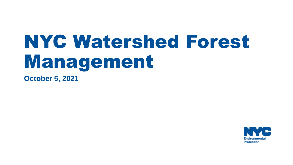# NYC Watershed Forest Management

**October 5, 2021**

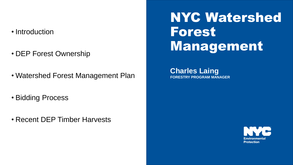#### • Introduction

- DEP Forest Ownership
- Watershed Forest Management Plan
- Bidding Process
- Recent DEP Timber Harvests

#### NYC Watershed Forest Management

**Charles Laing FORESTRY PROGRAM MANAGER**

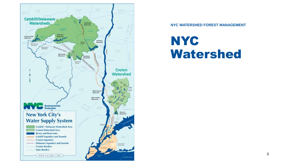

**NYC WATERSHED FOREST MANAGEMENT**

#### **NYC** Watershed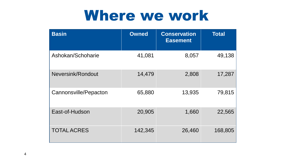#### Where we work

| <b>Basin</b>          | <b>Owned</b> | <b>Conservation</b><br><b>Easement</b> | <b>Total</b> |
|-----------------------|--------------|----------------------------------------|--------------|
| Ashokan/Schoharie     | 41,081       | 8,057                                  | 49,138       |
| Neversink/Rondout     | 14,479       | 2,808                                  | 17,287       |
| Cannonsville/Pepacton | 65,880       | 13,935                                 | 79,815       |
| East-of-Hudson        | 20,905       | 1,660                                  | 22,565       |
| <b>TOTAL ACRES</b>    | 142,345      | 26,460                                 | 168,805      |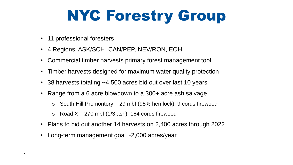# NYC Forestry Group

- 11 professional foresters
- 4 Regions: ASK/SCH, CAN/PEP, NEV/RON, EOH
- Commercial timber harvests primary forest management tool
- Timber harvests designed for maximum water quality protection
- 38 harvests totaling ~4,500 acres bid out over last 10 years
- Range from a 6 acre blowdown to a 300+ acre ash salvage
	- $\circ$  South Hill Promontory 29 mbf (95% hemlock), 9 cords firewood
	- $\circ$  Road X 270 mbf (1/3 ash), 164 cords firewood
- Plans to bid out another 14 harvests on 2,400 acres through 2022
- Long-term management goal ~2,000 acres/year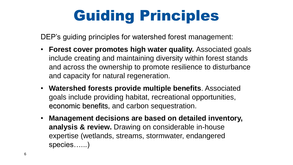# Guiding Principles

DEP's guiding principles for watershed forest management:

- **Forest cover promotes high water quality.** Associated goals include creating and maintaining diversity within forest stands and across the ownership to promote resilience to disturbance and capacity for natural regeneration.
- **Watershed forests provide multiple benefits**. Associated goals include providing habitat, recreational opportunities, economic benefits, and carbon sequestration.
- **Management decisions are based on detailed inventory, analysis & review.** Drawing on considerable in-house expertise (wetlands, streams, stormwater, endangered species…...)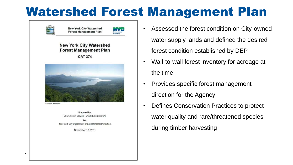#### Watershed Forest Management Plan



Prepared by: USDA Forest Service TEAMS Enterprise Unit

For: New York City Department of Environmental Protection

November 10, 2011

- Assessed the forest condition on City-owned water supply lands and defined the desired forest condition established by DEP
- Wall-to-wall forest inventory for acreage at the time
- Provides specific forest management direction for the Agency
- Defines Conservation Practices to protect water quality and rare/threatened species during timber harvesting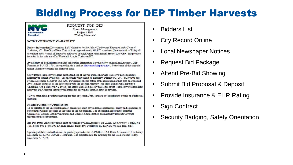#### Bidding Process for DEP Timber Harvests



REQUEST FOR BID Forest Management Project # 5059 "Turkey Mountain"

#### NOTICE OF PROJECT AVAILABILITY

Project Information/Description: Bid Solicitation for the Sale of Timber and Firewood in the Town of Yorktown, NY. The City of New York will sell approximately 310.970 board feet (International 1/4" Rule) of sawtimber and 87 cords of hardwood cordwood through Forest Management Project ID #5059. The products included in this sale are off of Underhill Ave. in Yorktown NY.

Availability of Bid Information: Bid solicitation information is available by calling Dan Lawrence, DEP Forester, at 845-808-1764, or requesting via e-mail at dlawrence@dep.nyc.gov. See reverse of this page for timber volume by species and diameter class.

Show Dates: Prospective bidders must attend one of the two public showings to receive the bid package necessary to submit a valid bid. The showings will be held on Thursday, December 5, 2019 at 2:00 PM and Friday, December 6, 2019 at 9:00 AM. Participants should gather at the recreation parking area on Underhill Ave, .4 miles northeast of the intersection with the Taconic Parkway. For those using a GPS, input 858 Underhill Ave Yorktown NY 10598, the access is located directly across the street. Prospective bidders must notify the DEP Forester that they will attend the showing at least 24 hours in advance.

\*If you attended a previous showing for this project in 2018, you are not required to attend an additional showing.

**Required Contractor Qualifications:** 

To be selected as the Successful Bidder, contractors must have adequate experience, ability and equipment to perform the work as specified in the terms of the bid package. The Successful Bidder must maintain Commercial General Liability Insurance and Workers Compensation and Disability Benefits Coverage throughout the contract term.

Bid Due Date: All bid proposals must be received by Dan Lawrence, NYCDEP, 1286 Route 6, Carmel, NY 10512 (845-808-1764), NO LATER THAN Thursday, December 19, 2019 at 3:00 PM, local time.

Opening of Bids: Sealed bids will be publicly opened at the DEP Office, 1286 Route 6, Carmel, NY on Friday December 20, 2019 at 9:00 AM, local time. The projected date for awarding the bid is on or about Friday, December 27, 2019.

- Bidders List
- **City Record Online**
- **Local Newspaper Notices**
- Request Bid Package
- Attend Pre-Bid Showing
- Submit Bid Proposal & Deposit
- Provide Insurance & EHR Rating
- **Sign Contract**
- Security Badging, Safety Orientation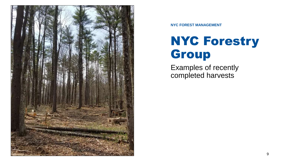

**NYC FOREST MANAGEMENT**

#### NYC Forestry Group

Examples of recently completed harvests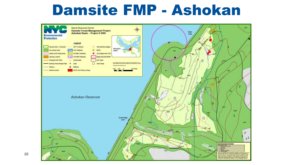#### Damsite FMP - Ashokan

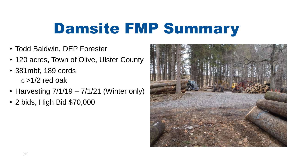# Damsite FMP Summary

- Todd Baldwin, DEP Forester
- 120 acres, Town of Olive, Ulster County
- 381mbf, 189 cords  $\circ$  >1/2 red oak
- Harvesting  $7/1/19 7/1/21$  (Winter only)
- 2 bids, High Bid \$70,000

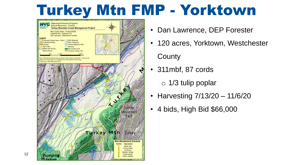### Turkey Mtn FMP - Yorktown



- Dan Lawrence, DEP Forester
- 120 acres, Yorktown, Westchester **County**
- 311mbf, 87 cords
	- o 1/3 tulip poplar
- Harvesting 7/13/20 11/6/20
- 4 bids, High Bid \$66,000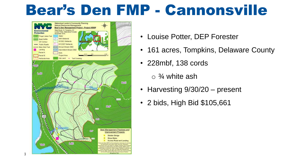### Bear's Den FMP - Cannonsville



 $1<sup>3</sup>$ 

- Louise Potter, DEP Forester
- 161 acres, Tompkins, Delaware County
- 228mbf, 138 cords
	- $\circ$  <sup>3</sup>/<sub>4</sub> white ash
- Harvesting 9/30/20 present
- 2 bids, High Bid \$105,661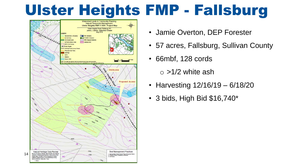## Ulster Heights FMP - Fallsburg

![](_page_13_Figure_1.jpeg)

- Jamie Overton, DEP Forester
- 57 acres, Fallsburg, Sullivan County
- 66mbf, 128 cords

 $\circ$  >1/2 white ash

- Harvesting 12/16/19 6/18/20
- 3 bids, High Bid \$16,740\*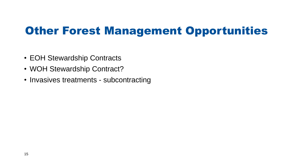#### Other Forest Management Opportunities

- EOH Stewardship Contracts
- WOH Stewardship Contract?
- Invasives treatments subcontracting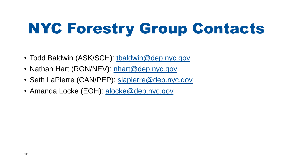# NYC Forestry Group Contacts

- Todd Baldwin (ASK/SCH): [tbaldwin@dep.nyc.gov](mailto:tbaldwin@dep.nyc.gov)
- Nathan Hart (RON/NEV): [nhart@dep.nyc.gov](mailto:nhart@dep.nyc.gov)
- Seth LaPierre (CAN/PEP): [slapierre@dep.nyc.gov](mailto:slapierre@dep.nyc.gov)
- Amanda Locke (EOH): [alocke@dep.nyc.gov](mailto:alocke@dep.nyc.gov)